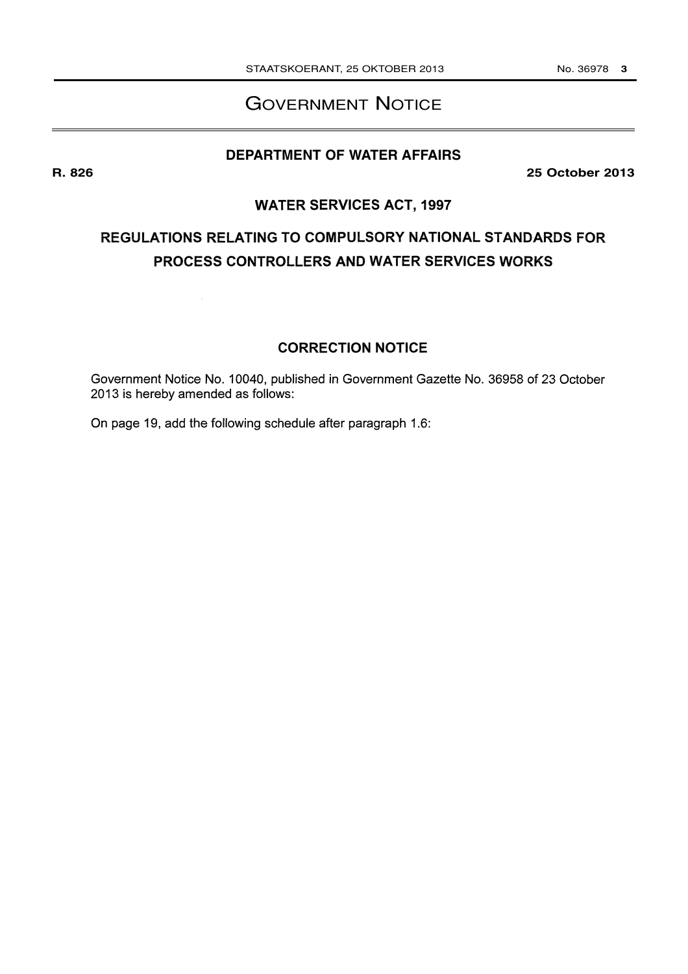#### No. 36978 3

## **GOVERNMENT NOTICE**

#### **DEPARTMENT OF WATER AFFAIRS**

**25 October 2013** 

### **WATER SERVICES ACT, 1997**

# REGULATIONS RELATING TO COMPULSORY NATIONAL STANDARDS FOR PROCESS CONTROLLERS AND WATER SERVICES WORKS

#### **CORRECTION NOTICE**

Government Notice No. 10040, published in Government Gazette No. 36958 of 23 October 2013 is hereby amended as follows:

On page 19, add the following schedule after paragraph 1.6:

R. 826